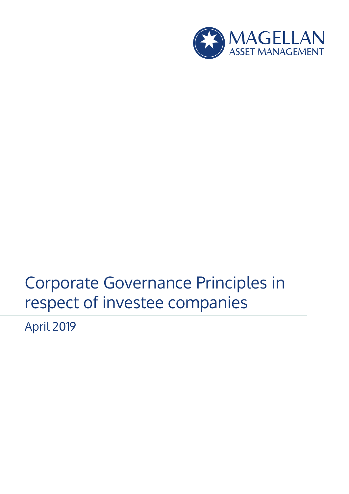

# Corporate Governance Principles in respect of investee companies

April 2019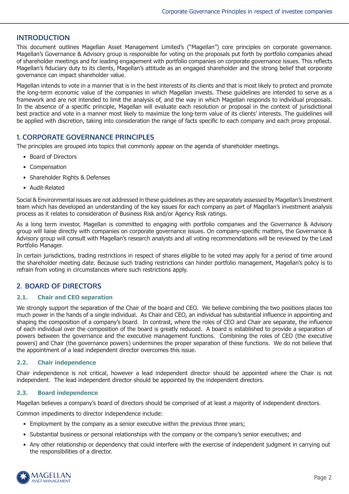# **INTRODUCTION**

This document outlines Magellan Asset Management Limited's ("Magellan") core principles on corporate governance. Magellan's Governance & Advisory group is responsible for voting on the proposals put forth by portfolio companies ahead of shareholder meetings and for leading engagement with portfolio companies on corporate governance issues. This reflects Magellan's fiduciary duty to its clients, Magellan's attitude as an engaged shareholder and the strong belief that corporate governance can impact shareholder value.

Magellan intends to vote in a manner that is in the best interests of its clients and that is most likely to protect and promote the long-term economic value of the companies in which Magellan invests. These guidelines are intended to serve as a framework and are not intended to limit the analysis of, and the way in which Magellan responds to individual proposals. In the absence of a specific principle, Magellan will evaluate each resolution or proposal in the context of jurisdictional best practice and vote in a manner most likely to maximize the long-term value of its clients' interests. The guidelines will be applied with discretion, taking into consideration the range of facts specific to each company and each proxy proposal.

# **1. CORPORATE GOVERNANCE PRINCIPLES**

The principles are grouped into topics that commonly appear on the agenda of shareholder meetings.

- Board of Directors
- Compensation
- Shareholder Rights & Defenses
- Audit-Related

Social & Environmental issues are not addressed in these guidelines as they are separately assessed by Magellan's Investment team which has developed an understanding of the key issues for each company as part of Magellan's investment analysis process as it relates to consideration of Business Risk and/or Agency Risk ratings.

As a long term investor, Magellan is committed to engaging with portfolio companies and the Governance & Advisory group will liaise directly with companies on corporate governance issues. On company-specific matters, the Governance & Advisory group will consult with Magellan's research analysts and all voting recommendations will be reviewed by the Lead Portfolio Manager.

In certain jurisdictions, trading restrictions in respect of shares eligible to be voted may apply for a period of time around the shareholder meeting date. Because such trading restrictions can hinder portfolio management, Magellan's policy is to refrain from voting in circumstances where such restrictions apply.

# **2. BOARD OF DIRECTORS**

## **2.1. Chair and CEO separation**

We strongly support the separation of the Chair of the board and CEO. We believe combining the two positions places too much power in the hands of a single individual. As Chair and CEO, an individual has substantial influence in appointing and shaping the composition of a company's board. In contrast, where the roles of CEO and Chair are separate, the influence of each individual over the composition of the board is greatly reduced. A board is established to provide a separation of powers between the governance and the executive management functions. Combining the roles of CEO (the executive powers) and Chair (the governance powers) undermines the proper separation of these functions. We do not believe that the appointment of a lead independent director overcomes this issue.

## **2.2. Chair independence**

Chair independence is not critical, however a lead independent director should be appointed where the Chair is not independent. The lead independent director should be appointed by the independent directors.

## **2.3. Board independence**

Magellan believes a company's board of directors should be comprised of at least a majority of independent directors.

Common impediments to director independence include:

- Employment by the company as a senior executive within the previous three years;
- Substantial business or personal relationships with the company or the company's senior executives; and
- Any other relationship or dependency that could interfere with the exercise of independent judgment in carrying out the responsibilities of a director.

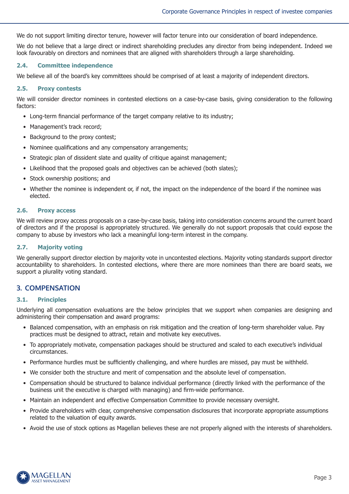We do not support limiting director tenure, however will factor tenure into our consideration of board independence.

We do not believe that a large direct or indirect shareholding precludes any director from being independent. Indeed we look favourably on directors and nominees that are aligned with shareholders through a large shareholding.

#### **2.4. Committee independence**

We believe all of the board's key committees should be comprised of at least a majority of independent directors.

#### **2.5. Proxy contests**

We will consider director nominees in contested elections on a case-by-case basis, giving consideration to the following factors:

- Long-term financial performance of the target company relative to its industry;
- Management's track record;
- Background to the proxy contest;
- Nominee qualifications and any compensatory arrangements;
- Strategic plan of dissident slate and quality of critique against management:
- Likelihood that the proposed goals and objectives can be achieved (both slates);
- Stock ownership positions; and
- Whether the nominee is independent or, if not, the impact on the independence of the board if the nominee was elected.

#### **2.6. Proxy access**

We will review proxy access proposals on a case-by-case basis, taking into consideration concerns around the current board of directors and if the proposal is appropriately structured. We generally do not support proposals that could expose the company to abuse by investors who lack a meaningful long-term interest in the company.

## **2.7. Majority voting**

We generally support director election by majority vote in uncontested elections. Majority voting standards support director accountability to shareholders. In contested elections, where there are more nominees than there are board seats, we support a plurality voting standard.

## **3. COMPENSATION**

#### **3.1. Principles**

Underlying all compensation evaluations are the below principles that we support when companies are designing and administering their compensation and award programs:

- Balanced compensation, with an emphasis on risk mitigation and the creation of long-term shareholder value. Pay practices must be designed to attract, retain and motivate key executives.
- To appropriately motivate, compensation packages should be structured and scaled to each executive's individual circumstances.
- Performance hurdles must be sufficiently challenging, and where hurdles are missed, pay must be withheld.
- We consider both the structure and merit of compensation and the absolute level of compensation.
- Compensation should be structured to balance individual performance (directly linked with the performance of the business unit the executive is charged with managing) and firm-wide performance.
- Maintain an independent and effective Compensation Committee to provide necessary oversight.
- Provide shareholders with clear, comprehensive compensation disclosures that incorporate appropriate assumptions related to the valuation of equity awards.
- Avoid the use of stock options as Magellan believes these are not properly aligned with the interests of shareholders.

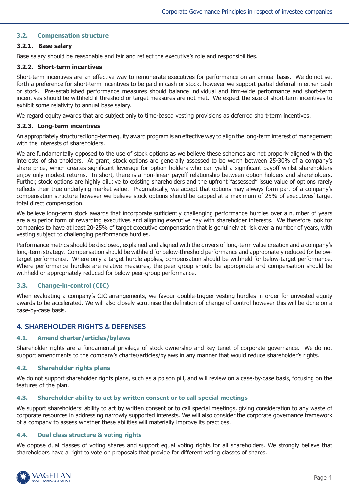## **3.2. Compensation structure**

#### **3.2.1. Base salary**

Base salary should be reasonable and fair and reflect the executive's role and responsibilities.

#### **3.2.2. Short-term incentives**

Short-term incentives are an effective way to remunerate executives for performance on an annual basis. We do not set forth a preference for short-term incentives to be paid in cash or stock, however we support partial deferral in either cash or stock. Pre-established performance measures should balance individual and firm-wide performance and short-term incentives should be withheld if threshold or target measures are not met. We expect the size of short-term incentives to exhibit some relativity to annual base salary.

We regard equity awards that are subject only to time-based vesting provisions as deferred short-term incentives.

#### **3.2.3. Long-term incentives**

An appropriately structured long-term equity award program is an effective way to align the long-term interest of management with the interests of shareholders.

We are fundamentally opposed to the use of stock options as we believe these schemes are not properly aligned with the interests of shareholders. At grant, stock options are generally assessed to be worth between 25-30% of a company's share price, which creates significant leverage for option holders who can yield a significant payoff whilst shareholders enjoy only modest returns. In short, there is a non-linear payoff relationship between option holders and shareholders. Further, stock options are highly dilutive to existing shareholders and the upfront "assessed" issue value of options rarely reflects their true underlying market value. Pragmatically, we accept that options may always form part of a company's compensation structure however we believe stock options should be capped at a maximum of 25% of executives' target total direct compensation.

We believe long-term stock awards that incorporate sufficiently challenging performance hurdles over a number of years are a superior form of rewarding executives and aligning executive pay with shareholder interests. We therefore look for companies to have at least 20-25% of target executive compensation that is genuinely at risk over a number of years, with vesting subject to challenging performance hurdles.

Performance metrics should be disclosed, explained and aligned with the drivers of long-term value creation and a company's long-term strategy. Compensation should be withheld for below-threshold performance and appropriately reduced for belowtarget performance. Where only a target hurdle applies, compensation should be withheld for below-target performance. Where performance hurdles are relative measures, the peer group should be appropriate and compensation should be withheld or appropriately reduced for below peer-group performance.

## **3.3. Change-in-control (CIC)**

When evaluating a company's CIC arrangements, we favour double-trigger vesting hurdles in order for unvested equity awards to be accelerated. We will also closely scrutinise the definition of change of control however this will be done on a case-by-case basis.

# **4. SHAREHOLDER RIGHTS & DEFENSES**

## **4.1. Amend charter/articles/bylaws**

Shareholder rights are a fundamental privilege of stock ownership and key tenet of corporate governance. We do not support amendments to the company's charter/articles/bylaws in any manner that would reduce shareholder's rights.

## **4.2. Shareholder rights plans**

We do not support shareholder rights plans, such as a poison pill, and will review on a case-by-case basis, focusing on the features of the plan.

## **4.3. Shareholder ability to act by written consent or to call special meetings**

We support shareholders' ability to act by written consent or to call special meetings, giving consideration to any waste of corporate resources in addressing narrowly supported interests. We will also consider the corporate governance framework of a company to assess whether these abilities will materially improve its practices.

#### **4.4. Dual class structure & voting rights**

We oppose dual classes of voting shares and support equal voting rights for all shareholders. We strongly believe that shareholders have a right to vote on proposals that provide for different voting classes of shares.